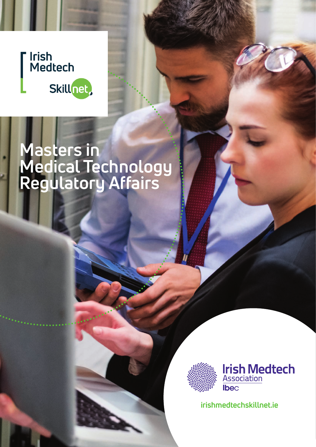# Irish<br>Medtech Skillnet,

# **Masters in Medical Technology Regulatory Affairs**



**irishmedtechskillnet.ie**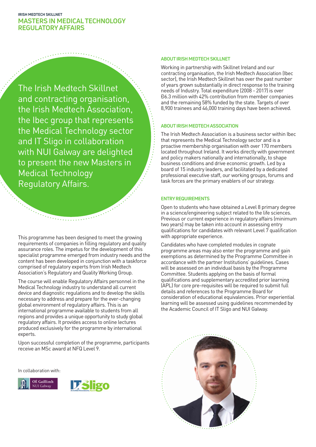The Irish Medtech Skillnet and contracting organisation, the Irish Medtech Association, the Ibec group that represents the Medical Technology sector and IT Sligo in collaboration with NUI Galway are delighted to present the new Masters in Medical Technology Regulatory Affairs.

This programme has been designed to meet the growing requirements of companies in filling regulatory and quality assurance roles. The impetus for the development of this specialist programme emerged from industry needs and the content has been developed in conjunction with a taskforce comprised of regulatory experts from Irish Medtech Association's Regulatory and Quality Working Group.

 $\mathcal{L}(\mathcal{L}_{\mathcal{L}})$  . The continuous contract of  $\mathcal{L}$ 

The course will enable Regulatory Affairs personnel in the Medical Technology industry to understand all current device and diagnostic regulations and to develop the skills necessary to address and prepare for the ever-changing global environment of regulatory affairs. This is an international programme available to students from all regions and provides a unique opportunity to study global regulatory affairs. It provides access to online lectures produced exclusively for the programme by international experts.

Upon successful completion of the programme, participants receive an MSc award at NFQ Level 9.

In collaboration with:





#### **ABOUT IRISH MEDTECH SKILLNET**

Working in partnership with Skillnet Ireland and our contracting organisation, the Irish Medtech Association (Ibec sector), the Irish Medtech Skillnet has over the past number of years grown substantially in direct response to the training needs of Industry. Total expenditure (2008 - 2017) is over €6.3 million with 42% contribution from member companies and the remaining 58% funded by the state. Targets of over 8,900 trainees and 46,000 training days have been achieved.

### **ABOUT IRISH MEDTECH ASSOCIATION**

The Irish Medtech Association is a business sector within Ibec that represents the Medical Technology sector and is a proactive membership organisation with over 170 members located throughout Ireland. It works directly with government and policy makers nationally and internationally, to shape business conditions and drive economic growth. Led by a board of 15 industry leaders, and facilitated by a dedicated professional executive staff, our working groups, forums and task forces are the primary enablers of our strategy.

### **ENTRY REQUIREMENTS**

Open to students who have obtained a Level 8 primary degree in a science/engineering subject related to the life sciences. Previous or current experience in regulatory affairs (minimum two years) may be taken into account in assessing entry qualifications for candidates with relevant Level 7 qualification with appropriate experience.

Candidates who have completed modules in cognate programme areas may also enter the programme and gain exemptions as determined by the Programme Committee in accordance with the partner Institutions' guidelines. Cases will be assessed on an individual basis by the Programme Committee. Students applying on the basis of formal qualifications and supplementary accredited prior learning (APL) for core pre-requisites will be required to submit full details and references to the Programme Board for consideration of educational equivalencies. Prior experiential learning will be assessed using guidelines recommended by the Academic Council of IT Sligo and NUI Galway.

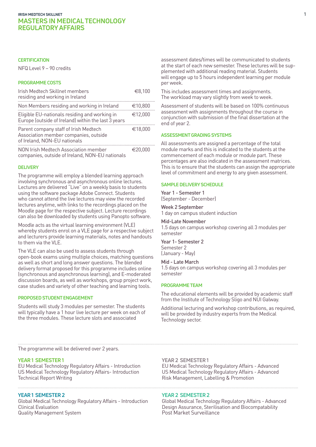### **CERTIFICATION**

NFQ Level 9 – 90 credits

### **PROGRAMME COSTS**

| Irish Medtech Skillnet members<br>residing and working in Ireland                                              | €8,100  |
|----------------------------------------------------------------------------------------------------------------|---------|
| Non Members residing and working in Ireland                                                                    | €10,800 |
| Eligible EU-nationals residing and working in<br>Europe (outside of Ireland) within the last 3 years           | €12,000 |
| Parent company staff of Irish Medtech<br>Association member companies, outside<br>of Ireland, NON-EU nationals | €18,000 |
| NON Irish Medtech Association member<br>companies, outside of Ireland, NON-EU nationals                        | €20.000 |

### **DELIVERY**

The programme will employ a blended learning approach involving synchronous and asynchronous online lectures. Lectures are delivered "Live" on a weekly basis to students using the software package Adobe Connect. Students who cannot attend the live lectures may view the recorded lectures anytime, with links to the recordings placed on the Moodle page for the respective subject. Lecture recordings can also be downloaded by students using Panopto software.

Moodle acts as the virtual learning environment (VLE) whereby students enrol on a VLE page for a respective subject and lecturers provide learning materials, notes and handouts to them via the VLE.

The VLE can also be used to assess students through open-book exams using multiple choices, matching questions as well as short and long answer questions. The blended delivery format proposed for this programme includes online (synchronous and asynchronous learning), and E-moderated discussion boards, as well as workshops, group project work, case studies and variety of other teaching and learning tools.

#### **PROPOSED STUDENT ENGAGEMENT**

Students will study 3 modules per semester. The students will typically have a 1 hour live lecture per week on each of the three modules. These lecture slots and associated

assessment dates/times will be communicated to students at the start of each new semester. These lectures will be supplemented with additional reading material. Students will engage up to 5 hours independent learning per module per week.

This includes assessment times and assignments. The workload may vary slightly from week to week.

Assessment of students will be based on 100% continuous assessment with assignments throughout the course in conjunction with submission of the final dissertation at the end of year 2.

#### **ASSESSMENT GRADING SYSTEMS**

All assessments are assigned a percentage of the total module marks and this is indicated to the students at the commencement of each module or module part. These percentages are also indicated in the assessment matrices. This is to ensure that the students can assign the appropriate level of commitment and energy to any given assessment.

#### **SAMPLE DELIVERY SCHEDULE**

Year 1 - Semester 1 (September - December)

Week 2 September 1 day on campus student induction

### Mid-Late November

1.5 days on campus workshop covering all 3 modules per semester

Year 1- Semester 2 Semester 2 (January - May)

#### Mid - Late March

1.5 days on campus workshop covering all 3 modules per semester

#### **PROGRAMME TEAM**

The educational elements will be provided by academic staff from the Institute of Technology Sligo and NUI Galway.

Additional lecturing and workshop contributions, as required, will be provided by industry experts from the Medical Technology sector.

The programme will be delivered over 2 years.

### **YEAR 1 SEMESTER 1 YEAR 2 SEMESTER 1**

EU Medical Technology Regulatory Affairs - Introduction EU Medical Technology Regulatory Affairs - Advanced US Medical Technology Regulatory Affairs- Introduction US Medical Technology Regulatory Affairs - Advanced Technical Report Writing Technical Report Writing Risk Management, Labelling & Promotion

Clinical Evaluation **Design Assurance, Sterilisation and Biocompatability** Quality Management System **Accord Accord Post Market Surveillance** 

#### **YEAR 1 SEMESTER 2 YEAR 2 SEMESTER 2**

Global Medical Technology Regulatory Affairs - Introduction Global Medical Technology Regulatory Affairs - Advanced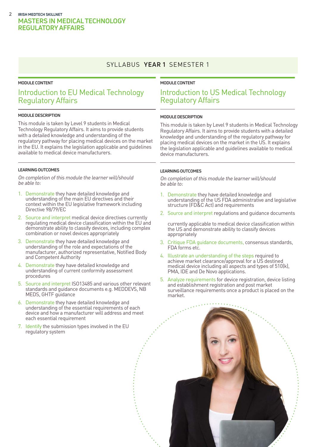### SYLLABUS **YEAR 1** SEMESTER 1

### **MODULE CONTENT**

## Introduction to EU Medical Technology Regulatory Affairs

### **MODULE DESCRIPTION**

This module is taken by Level 9 students in Medical Technology Regulatory Affairs. It aims to provide students with a detailed knowledge and understanding of the regulatory pathway for placing medical devices on the market in the EU. It explains the legislation applicable and guidelines available to medical device manufacturers.

#### **LEARNING OUTCOMES**

On completion of this module the learner will/should be able to:

- 1. Demonstrate they have detailed knowledge and understanding of the main EU directives and their context within the EU legislative framework including Directive 98/79/EC
- 2. Source and interpret medical device directives currently regulating medical device classification within the EU and demonstrate ability to classify devices, including complex combination or novel devices appropriately
- 3. Demonstrate they have detailed knowledge and understanding of the role and expectations of the manufacturer, authorized representative, Notified Body and Competent Authority
- 4. Demonstrate they have detailed knowledge and understanding of current conformity assessment procedures
- 5. Source and interpret ISO13485 and various other relevant standards and guidance documents e.g. MEDDEVS, NB MEDS, GHTF guidance
- 6. Demonstrate they have detailed knowledge and understanding of the essential requirements of each device and how a manufacturer will address and meet each essential requirement
- 7. Identify the submission types involved in the EU regulatory system

### **MODULE CONTENT**

### Introduction to US Medical Technology Regulatory Affairs

### **MODULE DESCRIPTION**

This module is taken by Level 9 students in Medical Technology Regulatory Affairs. It aims to provide students with a detailed knowledge and understanding of the regulatory pathway for placing medical devices on the market in the US. It explains the legislation applicable and guidelines available to medical device manufacturers.

### **LEARNING OUTCOMES**

On completion of this module the learner will/should be able to:

- 1. Demonstrate they have detailed knowledge and understanding of the US FDA administrative and legislative structure (FD&C Act) and requirements
- 2. Source and interpret regulations and guidance documents

currently applicable to medical device classification within the US and demonstrate ability to classify devices appropriately

- 3. Critique FDA guidance documents, consensus standards, FDA forms etc.
- 4. Illustrate an understanding of the steps required to achieve market clearance/approval for a US destined medical device including all aspects and types of 510(k), PMA, IDE and De Novo applications.
- 5. Analyze requirements for device registration, device listing and establishment registration and post market surveillance requirements once a product is placed on the market.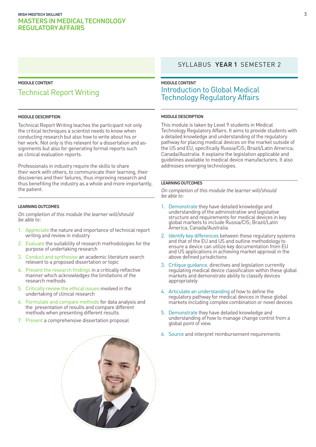### **MODULE CONTENT**

# Technical Report Writing

#### **MODULE DESCRIPTION**

Technical Report Writing teaches the participant not only the critical techniques a scientist needs to know when conducting research but also how to write about his or her work. Not only is this relevant for a dissertation and assignments but also for generating formal reports such as clinical evaluation reports.

Professionals in industry require the skills to share their work with others, to communicate their learning, their discoveries and their failures, thus improving research and thus benefiting the industry as a whole and more importantly, the patient.

### **LEARNING OUTCOMES**

On completion of this module the learner will/should be able to:

- 1. Appreciate the nature and importance of technical report writing and review in industry
- 2. Evaluate the suitability of research methodologies for the purpose of undertaking research
- 3. Conduct and synthesise an academic literature search relevant to a proposed dissertation or topic
- 4. Present the research findings in a critically reflective manner which acknowledges the limitations of the research methods
- 5. Critically review the ethical issues involved in the undertaking of clinical research
- 6. Formulate and compare methods for data analysis and the presentation of results and compare different methods when presenting different results
- 7. Present a comprehensive dissertation proposal

### SYLLABUS **YEAR 1** SEMESTER 2

### **MODULE CONTENT** Introduction to Global Medical Technology Regulatory Affairs

#### **MODULE DESCRIPTION**

This module is taken by Level 9 students in Medical Technology Regulatory Affairs. It aims to provide students with a detailed knowledge and understanding of the regulatory pathway for placing medical devices on the market outside of the US and EU, specifically Russia/CiS; Brazil/Latin America; Canada/Australia. It explains the legislation applicable and guidelines available to medical device manufacturers. It also addresses emerging technologies.

### **LEARNING OUTCOMES**

- 1. Demonstrate they have detailed knowledge and understanding of the administrative and legislative structure and requirements for medical devices in key global markets to include Russia/CIS; Brazil/Latin America; Canada/Australia
- 2. Identify key differences between these regulatory systems and that of the EU and US and outline methodology to ensure a device can utilize key documentation from EU and US applications in achieving market approval in the above defined jurisdictions
- 3. Critique guidance, directives and legislation currently regulating medical device classification within these global markets and demonstrate ability to classify devices appropriately
- 4. Articulate an understanding of how to define the regulatory pathway for medical devices in these global markets including complex combination or novel devices
- 5. Demonstrate they have detailed knowledge and understanding of how to manage change control from a global point of view.
- 6. Source and interpret reimbursement requirements

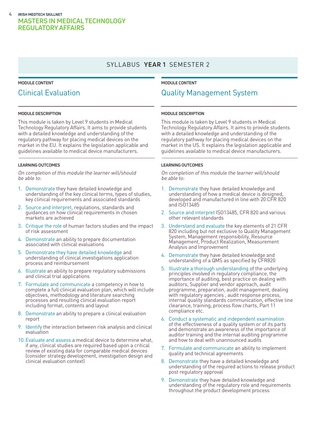### SYLLABUS **YEAR 1** SEMESTER 2

### **MODULE CONTENT**

## Clinical Evaluation

#### **MODULE DESCRIPTION**

This module is taken by Level 9 students in Medical Technology Regulatory Affairs. It aims to provide students with a detailed knowledge and understanding of the regulatory pathway for placing medical devices on the market in the EU. It explains the legislation applicable and guidelines available to medical device manufacturers.

### **LEARNING OUTCOMES**

On completion of this module the learner will/should be able to:

- 1. Demonstrate they have detailed knowledge and understanding of the key clinical terms, types of studies, key clinical requirements and associated standards
- 2. Source and interpret, regulations, standards and guidances on how clinical requirements in chosen markets are achieved
- 3. Critique the role of human factors studies and the impact of risk assessment
- 4. Demonstrate an ability to prepare documentation associated with clinical evaluations
- 5. Demonstrate they have detailed knowledge and understanding of clinical investigations application process and reimbursement
- 6. Illustrate an ability to prepare regulatory submissions and clinical trial applications
- 7. Formulate and communicate a competency in how to complete a full clinical evaluation plan, which will include objectives, methodology and literature searching processes and resulting clinical evaluation report including format, contents and layout
- 8. Demonstrate an ability to prepare a clinical evaluation report
- 9. Identify the interaction between risk analysis and clinical evaluation
- 10.Evaluate and assess a medical device to determine what, if any, clinical studies are required based upon a critical review of existing data for comparable medical devices (consider strategy development, investigation design and clinical evaluation context)

### **MODULE CONTENT** Quality Management System

### **MODULE DESCRIPTION**

This module is taken by Level 9 students in Medical Technology Regulatory Affairs. It aims to provide students with a detailed knowledge and understanding of the regulatory pathway for placing medical devices on the market in the US. It explains the legislation applicable and guidelines available to medical device manufacturers.

### **LEARNING OUTCOMES**

- 1. Demonstrate they have detailed knowledge and understanding of how a medical device is designed, developed and manufactured in line with 20 CFR 820 and ISO13485
- 2. Source and interpret ISO13485, CFR 820 and various other relevant standards
- 3. Understand and evaluate the key elements of 21 CFR 820 including but not exclusive to Quality Management System, Management responsibility, Resource Management, Product Realization, Measurement Analysis and Improvement
- 4. Demonstrate they have detailed knowledge and understanding of a QMS as specified by CFR820
- 5. Illustrate a thorough understanding of the underlying principles involved in regulatory compliance, the importance of auditing, best practice on dealing with auditors, Supplier and vendor approach, audit programme, preparation, audit management, dealing with regulatory agencies , audit response process, internal quality standards communication, effective line clearance, training, process flow charts, Part 11 compliance etc.
- 6. Conduct a systematic and independent examination of the effectiveness of a quality system or of its parts and demonstrate an awareness of the importance of auditor training and the internal auditing programme and how to deal with unannounced audits
- 7. Formulate and communicate an ability to implement quality and technical agreements
- 8. Demonstrate they have a detailed knowledge and understanding of the required actions to release product post regulatory approval
- 9. Demonstrate they have detailed knowledge and understanding of the regulatory role and requirements throughout the product development process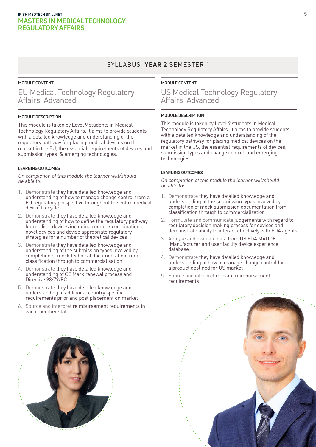### SYLLABUS **YEAR 2** SEMESTER 1

### **MODULE CONTENT**

## EU Medical Technology Regulatory Affairs Advanced

### **MODULE DESCRIPTION**

This module is taken by Level 9 students in Medical Technology Regulatory Affairs. It aims to provide students with a detailed knowledge and understanding of the regulatory pathway for placing medical devices on the market in the EU, the essential requirements of devices and submission types & emerging technologies.

### **LEARNING OUTCOMES**

On completion of this module the learner will/should be able to:

- 1. Demonstrate they have detailed knowledge and understanding of how to manage change control from a EU regulatory perspective throughout the entire medical device lifecycle
- 2. Demonstrate they have detailed knowledge and understanding of how to define the regulatory pathway for medical devices including complex combination or novel devices and devise appropriate regulatory strategies for a number of theoretical devices
- 3. Demonstrate they have detailed knowledge and understanding of the submission types involved by completion of mock technical documentation from classification through to commercialisation
- 4. Demonstrate they have detailed knowledge and understanding of CE Mark renewal process and Directive 98/79/EC
- 5. Demonstrate they have detailed knowledge and understanding of additional country specific requirements prior and post placement on market
- 6. Source and interpret reimbursement requirements in each member state

### **MODULE CONTENT**

### US Medical Technology Regulatory Affairs Advanced

### **MODULE DESCRIPTION**

This module is taken by Level 9 students in Medical Technology Regulatory Affairs. It aims to provide students with a detailed knowledge and understanding of the regulatory pathway for placing medical devices on the market in the US, the essential requirements of devices, submission types and change control and emerging technologies.

### **LEARNING OUTCOMES**

- 1. Demonstrate they have detailed knowledge and understanding of the submission types involved by completion of mock submission documentation from classification through to commercialization
- 2. Formulate and communicate judgements with regard to regulatory decision making process for devices and demonstrate ability to interact effectively with FDA agents
- 3. Analyse and evaluate data from US FDA MAUDE (Manufacturer and user facility device experience) database
- 4. Demonstrate they have detailed knowledge and understanding of how to manage change control for a product destined for US market
- 5. Source and interpret relevant reimbursement requirements



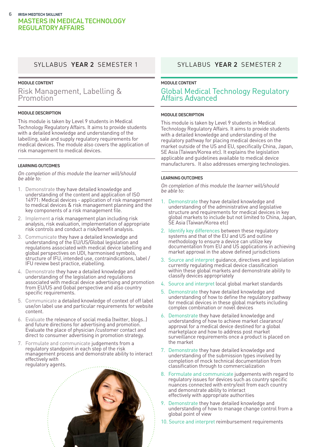### **MODULE CONTENT**

Risk Management, Labelling & Promotion

### **MODULE DESCRIPTION**

This module is taken by Level 9 students in Medical Technology Regulatory Affairs. It aims to provide students with a detailed knowledge and understanding of the labelling, sale and supply regulatory requirements for medical devices. The module also covers the application of risk management to medical devices.

### **LEARNING OUTCOMES**

On completion of this module the learner will/should be able to:

- 1. Demonstrate they have detailed knowledge and understanding of the content and application of ISO 14971: Medical devices - application of risk management to medical devices & risk management planning and the key components of a risk management file.
- 2. Implement a risk management plan including risk analysis, risk evaluation, implementation of appropriate risk controls and conduct a risk/benefit analysis.
- 3. Communicate they have a detailed knowledge and understanding of the EU/US/Global legislation and regulations associated with medical device labelling and global perspectives on UDI, harmonised symbols, structure of IFU, intended use, contraindications, label / IFU review best practice, elabelling.
- 4. Demonstrate they have a detailed knowledge and understanding of the legislation and regulations associated with medical device advertising and promotion from EU/US and Gobal perspective and also country specific requirements.
- 5. Communicate a detailed knowledge of context of off label use/on label use and particular requirements for website content.
- 6. Evaluate the relevance of social media (twitter, blogs..) and future directions for advertising and promotion. Evaluate the place of physician /customer contact and direct to consumer advertising in promotion strategy.
- 7. Formulate and communicate judgements from a regulatory standpoint in each step of the risk management process and demonstrate ability to interact effectively with regulatory agents.



### SYLLABUS **YEAR 2** SEMESTER 1 SYLLABUS **YEAR 2** SEMESTER 2

### **MODULE CONTENT** Global Medical Technology Regulatory Affairs Advanced

### **MODULE DESCRIPTION**

This module is taken by Level 9 students in Medical Technology Regulatory Affairs. It aims to provide students with a detailed knowledge and understanding of the regulatory pathway for placing medical devices on the market outside of the US and EU, specifically China, Japan, SE Asia (Taiwan/Korea etc). It explains the legislation applicable and guidelines available to medical device manufacturers. It also addresses emerging technologies.

### **LEARNING OUTCOMES**

- 1. Demonstrate they have detailed knowledge and understanding of the administrative and legislative structure and requirements for medical devices in key global markets to include but not limited to China, Japan, SE Asia (Taiwan/Korea etc)
- 2. Identify key differences between these regulatory systems and that of the EU and US and outline methodology to ensure a device can utilize key documentation from EU and US applications in achieving market approval in the above defined jurisdictions
- 3. Source and interpret guidance, directives and legislation currently regulating medical device classification within these global markets and demonstrate ability to classify devices appropriately
- 4. Source and interpret local global market standards
- 5. Demonstrate they have detailed knowledge and understanding of how to define the regulatory pathway for medical devices in these global markets including complex combination or novel devices
- 6. Demonstrate they have detailed knowledge and understanding of how to achieve market clearance/ approval for a medical device destined for a global marketplace and how to address post market surveillance requirements once a product is placed on the market
- 7. Demonstrate they have detailed knowledge and understanding of the submission types involved by completion of mock technical documentation from classification through to commercialization
- 8. Formulate and communicate judgements with regard to regulatory issues for devices such as country specific nuances connected with entry/exit from each country and demonstrate ability to interact effectively with appropriate authorities
- 9. Demonstrate they have detailed knowledge and understanding of how to manage change control from a global point of view
- 10. Source and interpret reimbursement requirements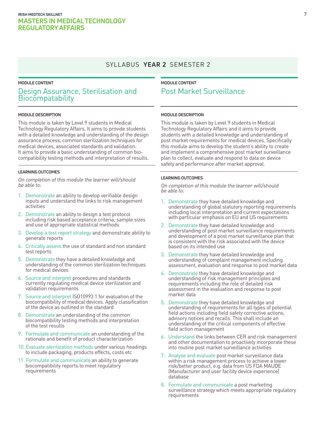### SYLLABUS **YEAR 2** SEMESTER 2

### **MODULE CONTENT**

### Design Assurance, Sterilisation and **Biocompatability**

#### **MODULE DESCRIPTION**

This module is taken by Level 9 students in Medical Technology Regulatory Affairs. It aims to provide students with a detailed knowledge and understanding of the design assurance process, common sterilization techniques for medical devices, associated standards and validation. It aims to provide a basic understanding of common biocompatibility testing methods and interpretation of results.

### **LEARNING OUTCOMES**

On completion of this module the learner will/should be able to:

- 1. Demonstrate an ability to develop verifiable design inputs and understand the links to risk management activities
- 2. Demonstrate an ability to design a test protocol including risk based acceptance criteria, sample sizes and use of appropriate statistical methods
- 3. Develop a test report strategy and demonstrate ability to generate reports
- 4. Critically assess the use of standard and non standard test reports
- 5. Demonstrate they have a detailed knowledge and understanding of the common sterilization techniques for medical devices
- 6. Source and interpret procedures and standards currently regulating medical device sterilization and validation requirements
- 7. Source and interpret ISO10993 1 for evaluation of the biocompatibility of medical devices. Apply classification of the device as outlined in the standard
- 8. Demonstrate an understanding of the common biocompatibility testing methods and interpretation of the test results
- 9. Formulate and communicate an understanding of the rationale and benefit of product characterization
- 10. Evaluate sterilization methods under various headings to include packaging, products effects, costs etc
- 11. Formulate and communicate an ability to generate biocompatibility reports to meet regulatory requirements

### **MODULE CONTENT** Post Market Surveillance

#### **MODULE DESCRIPTION**

This module is taken by Level 9 students in Medical Technology Regulatory Affairs and it aims to provide students with a detailed knowledge and understanding of post market requirements for medical devices. Specifically this module aims to develop the student's ability to create and implement a comprehensive post market surveillance plan to collect, evaluate and respond to data on device safety and performance after market approval.

### **LEARNING OUTCOMES**

- 1. Demonstrate they have detailed knowledge and understanding of global statutory reporting requirements including local interpretation and current expectations with particular emphasis on EU and US requirements
- 2. Demonstrate they have detailed knowledge and understanding of post market surveillance requirements and development of a post market surveillance plan that is consistent with the risk associated with the device based on its intended use
- 3. Demonstrate they have detailed knowledge and understanding of complaint management including assessment, evaluation and response to post market data
- 4. Demonstrate they have detailed knowledge and understanding of risk management principles and requirements including the role of detailed risk assessment in the evaluation and response to post market data
- 5. Demonstrate they have detailed knowledge and understanding of requirements for all types of potential field actions including field safety corrective actions, advisory notices and recalls. This shall include an understanding of the critical components of effective field action management
- 6. Understand the links between CER and risk management and other documentation to proactively incorporate these into routine post market surveillance activities
- 7. Analyse and evaluate post market surveillance data within a risk management process to achieve a lower risk/better product, e.g. data from US FDA MAUDE (Manufacturer and user facility device experience) database
- 8. Formulate and communicate a post marketing surveillance strategy which meets appropriate regulatory requirements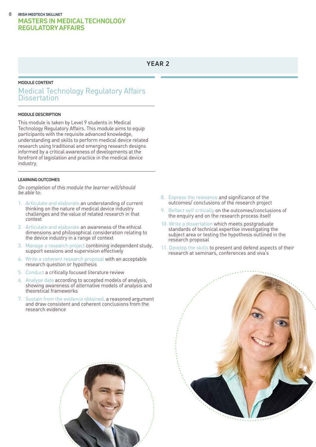### **YEAR 2**

### **MODULE CONTENT**

### Medical Technology Regulatory Affairs **Dissertation**

### **MODULE DESCRIPTION**

This module is taken by Level 9 students in Medical Technology Regulatory Affairs. This module aims to equip participants with the requisite advanced knowledge, understanding and skills to perform medical device related research using traditional and emerging research designs informed by a critical awareness of developments at the forefront of legislation and practice in the medical device industry.

### **LEARNING OUTCOMES**

On completion of this module the learner will/should  $he$  able to:

- 1. Articulate and elaborate an understanding of current thinking on the nature of medical device industry challenges and the value of related research in that context
- 2. Articulate and elaborate an awareness of the ethical dimensions and philosophical consideration relating to the device industry in a range of context
- 3. Manage a research project combining independent study, support sessions and supervision effectively
- 4. Write a coherent research proposal with an acceptable research question or hypothesis
- 5. Conduct a critically focused literature review
- 6. Analyse data according to accepted models of analysis, showing awareness of alternative models of analysis and theoretical frameworks
- 7. Sustain from the evidence obtained, a reasoned argument and draw consistent and coherent conclusions from the research evidence
- 8. Express the relevance and significance of the outcomes/ conclusions of the research project
- 9. Reflect self critically on the outcomes/conclusions of the enquiry and on the research process itself
- 10. Write a dissertation which meets postgraduate standards of technical expertise investigating the subject area or testing the hypothesis outlined in the research proposal
- 11. Develop the skills to present and defend aspects of their research at seminars, conferences and viva's





**8**